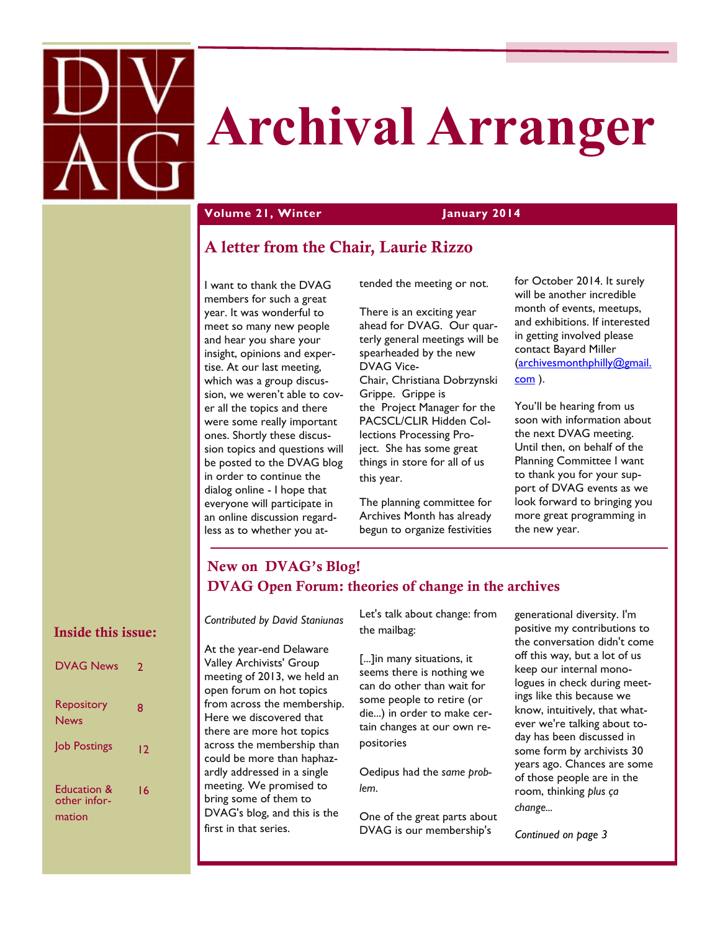

# **Archival Arranger**

### **Volume 21, Winter January 2014**

### **A letter from the Chair, Laurie Rizzo**

I want to thank the DVAG members for such a great year. It was wonderful to meet so many new people and hear you share your insight, opinions and expertise. At our last meeting, which was a group discussion, we weren't able to cover all the topics and there were some really important ones. Shortly these discussion topics and questions will be posted to the DVAG blog in order to continue the dialog online - I hope that everyone will participate in an online discussion regardless as to whether you attended the meeting or not.

There is an exciting year ahead for DVAG. Our quarterly general meetings will be spearheaded by the new DVAG Vice-Chair, Christiana Dobrzynski Grippe. Grippe is the Project Manager for the PACSCL/CLIR Hidden Collections Processing Project. She has some great things in store for all of us

The planning committee for Archives Month has already begun to organize festivities

for October 2014. It surely will be another incredible month of events, meetups, and exhibitions. If interested in getting involved please contact Bayard Miller [\(archivesmonthphilly@gmail.](mailto:archivesmonthphilly@gmail.com) [com](mailto:archivesmonthphilly@gmail.com) ).

You'll be hearing from us soon with information about the next DVAG meeting. Until then, on behalf of the Planning Committee I want to thank you for your support of DVAG events as we look forward to bringing you more great programming in the new year.

### **New on DVAG's Blog! DVAG Open Forum: theories of change in the archives**

this year.

### **Inside this issue:**

| <b>DVAG News</b>                      | 2  |
|---------------------------------------|----|
| Repository<br>News                    | 8  |
| Job Postings                          | 12 |
| Education &<br>other infor-<br>mation | 16 |

*Contributed by David Staniunas*

At the year-end Delaware Valley Archivists' Group meeting of 2013, we held an open forum on hot topics from across the membership. Here we discovered that there are more hot topics across the membership than could be more than haphazardly addressed in a single meeting. We promised to bring some of them to DVAG's blog, and this is the first in that series.

Let's talk about change: from the mailbag:

[...]in many situations, it seems there is nothing we can do other than wait for some people to retire (or die...) in order to make certain changes at our own repositories

Oedipus had the *same problem*.

One of the great parts about DVAG is our membership's

generational diversity. I'm positive my contributions to the conversation didn't come off this way, but a lot of us keep our internal monologues in check during meetings like this because we know, intuitively, that whatever we're talking about today has been discussed in some form by archivists 30 years ago. Chances are some of those people are in the room, thinking *plus ça change...*

*Continued on page 3*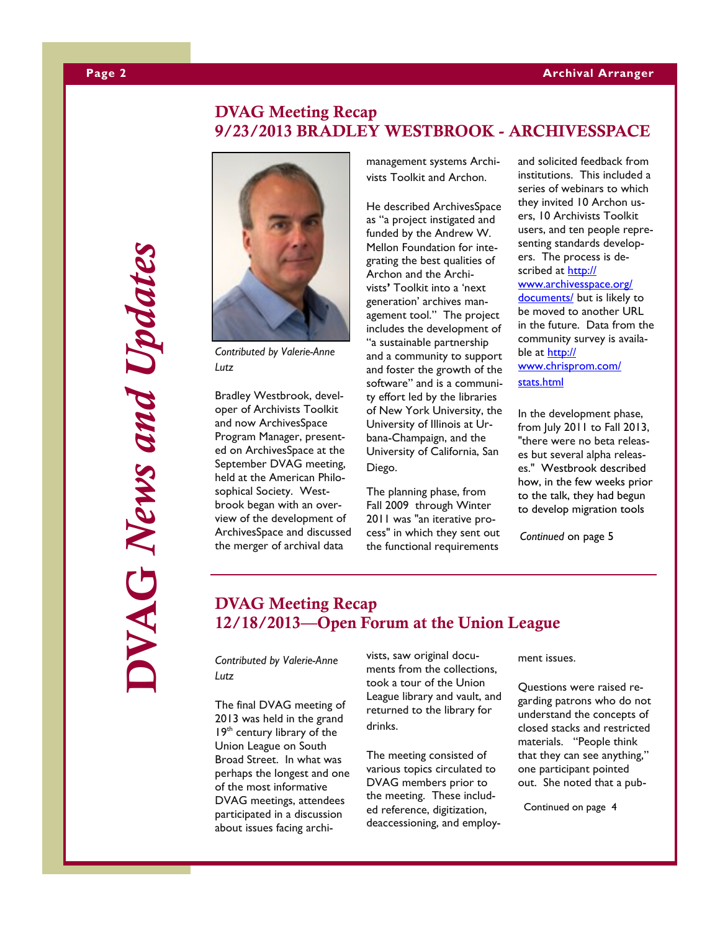### **Page 2 Archival Arranger**

## **DVAG Meeting Recap 9/23/2013 BRADLEY WESTBROOK - ARCHIVESSPACE**



*Contributed by Valerie-Anne Lutz*

Bradley Westbrook, developer of Archivists Toolkit and now ArchivesSpace Program Manager, presented on ArchivesSpace at the September DVAG meeting, held at the American Philosophical Society. Westbrook began with an overview of the development of ArchivesSpace and discussed the merger of archival data

management systems Archivists Toolkit and Archon.

He described ArchivesSpace as "a project instigated and funded by the Andrew W. Mellon Foundation for integrating the best qualities of Archon and the Archivists**'** Toolkit into a 'next generation' archives management tool." The project includes the development of "a sustainable partnership and a community to support and foster the growth of the software" and is a community effort led by the libraries of New York University, the University of Illinois at Urbana-Champaign, and the University of California, San Diego.

The planning phase, from Fall 2009 through Winter 2011 was "an iterative process" in which they sent out the functional requirements and solicited feedback from institutions. This included a series of webinars to which they invited 10 Archon users, 10 Archivists Toolkit users, and ten people representing standards developers. The process is described at [http://](http://www.archivesspace.org/documents/) [www.archivesspace.org/](http://www.archivesspace.org/documents/) [documents/](http://www.archivesspace.org/documents/) but is likely to be moved to another URL in the future. Data from the community survey is available at [http://](http://www.chrisprom.com/stats.html) [www.chrisprom.com/](http://www.chrisprom.com/stats.html) [stats.html](http://www.chrisprom.com/stats.html)

In the development phase, from July 2011 to Fall 2013, "there were no beta releases but several alpha releases." Westbrook described how, in the few weeks prior to the talk, they had begun to develop migration tools

*Continued* on page 5

### **DVAG Meeting Recap 12/18/2013—Open Forum at the Union League**

*Contributed by Valerie-Anne Lutz*

The final DVAG meeting of 2013 was held in the grand 19<sup>th</sup> century library of the Union League on South Broad Street. In what was perhaps the longest and one of the most informative DVAG meetings, attendees participated in a discussion about issues facing archivists, saw original documents from the collections, took a tour of the Union League library and vault, and returned to the library for drinks.

The meeting consisted of various topics circulated to DVAG members prior to the meeting. These included reference, digitization, deaccessioning, and employment issues.

Questions were raised regarding patrons who do not understand the concepts of closed stacks and restricted materials. "People think that they can see anything," one participant pointed out. She noted that a pub-

Continued on page 4

# **DVAG** *News and Updates*  $\sum_{i=1}^{n}$  News and Updates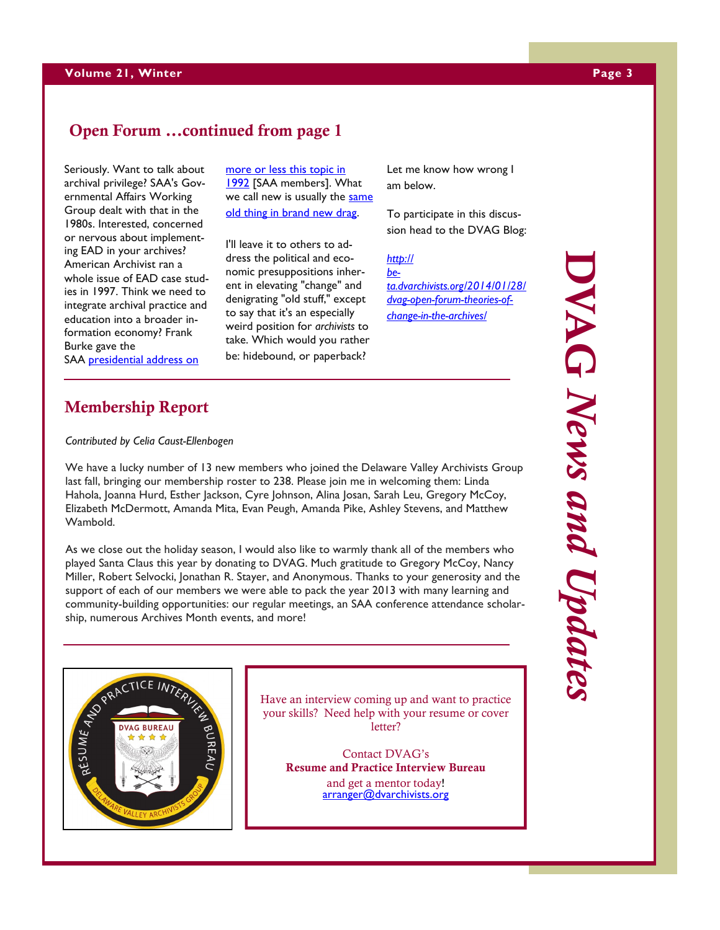### **Open Forum ...continued from page 1**

Seriously. Want to talk about archival privilege? SAA's Governmental Affairs Working Group dealt with that in the 1980s. Interested, concerned or nervous about implementing EAD in your archives? American Archivist ran a whole issue of EAD case studies in 1997. Think we need to integrate archival practice and education into a broader information economy? Frank Burke gave the

SAA presidential address on

### **Membership Report**

*Contributed by Celia Caust-Ellenbogen*

We have a lucky number of 13 new members who joined the Delaware Valley Archivists Group last fall, bringing our membership roster to 238. Please join me in welcoming them: Linda Hahola, Joanna Hurd, Esther Jackson, Cyre Johnson, Alina Josan, Sarah Leu, Gregory McCoy, Elizabeth McDermott, Amanda Mita, Evan Peugh, Amanda Pike, Ashley Stevens, and Matthew Wambold.

[more or less this topic in](http://archivists.metapress.com/content/w628m34076646275/fulltext.pdf)  [1992](http://archivists.metapress.com/content/w628m34076646275/fulltext.pdf) [SAA members]. What we call new is usually the same [old thing in brand new drag.](http://www.youtube.com/watch?v=i9pByyFqrFI)

I'll leave it to others to address the political and economic presuppositions inherent in elevating "change" and denigrating "old stuff," except to say that it's an especially weird position for *archivists* to take. Which would you rather be: hidebound, or paperback?

As we close out the holiday season, I would also like to warmly thank all of the members who played Santa Claus this year by donating to DVAG. Much gratitude to Gregory McCoy, Nancy Miller, Robert Selvocki, Jonathan R. Stayer, and Anonymous. Thanks to your generosity and the support of each of our members we were able to pack the year 2013 with many learning and community-building opportunities: our regular meetings, an SAA conference attendance scholarship, numerous Archives Month events, and more!



Have an interview coming up and want to practice your skills? Need help with your resume or cover letter?

Contact DVAG's **Resume and Practice Interview Bureau**  and get a mentor today!

arranger@dvarchivists.org

Let me know how wrong I am below.

To participate in this discussion head to the DVAG Blog:

*[http://](http://beta.dvarchivists.org/2014/01/28/dvag-open-forum-theories-of-change-in-the-archives/) [be](http://beta.dvarchivists.org/2014/01/28/dvag-open-forum-theories-of-change-in-the-archives/)[ta.dvarchivists.org/2014/01/28/](http://beta.dvarchivists.org/2014/01/28/dvag-open-forum-theories-of-change-in-the-archives/) [dvag-open-forum-theories-of](http://beta.dvarchivists.org/2014/01/28/dvag-open-forum-theories-of-change-in-the-archives/)[change-in-the-archives/](http://beta.dvarchivists.org/2014/01/28/dvag-open-forum-theories-of-change-in-the-archives/)*

# **DVAG** *News and Updates* DVAG News and Updates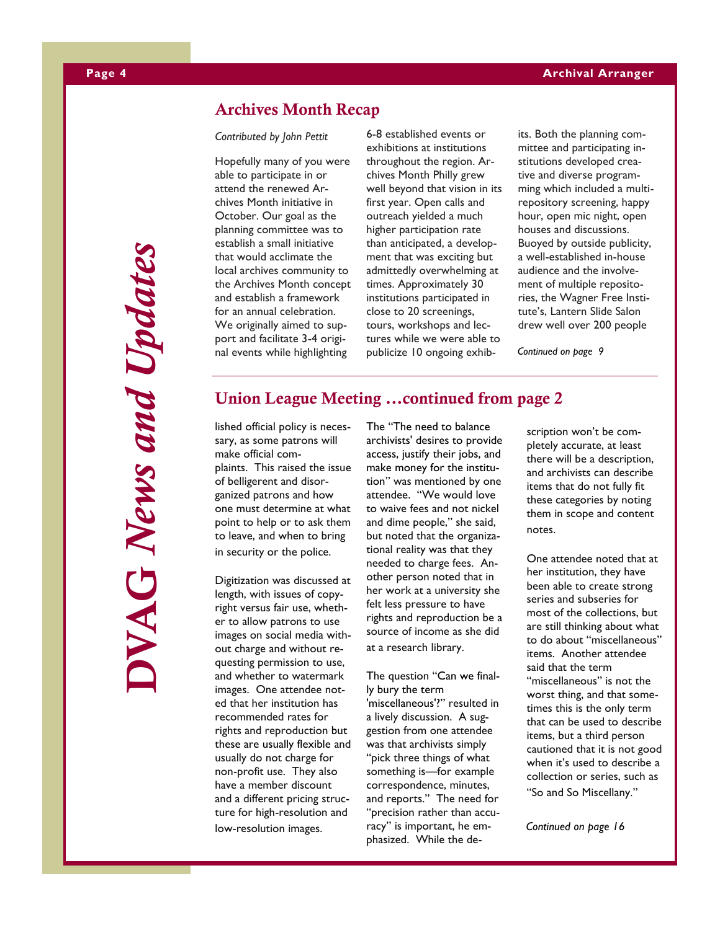### **Archives Month Recap**

*Contributed by John Pettit*

Hopefully many of you were able to participate in or attend the renewed Archives Month initiative in October. Our goal as the planning committee was to establish a small initiative that would acclimate the local archives community to the Archives Month concept and establish a framework for an annual celebration. We originally aimed to support and facilitate 3-4 original events while highlighting

6-8 established events or exhibitions at institutions throughout the region. Archives Month Philly grew well beyond that vision in its first year. Open calls and outreach yielded a much higher participation rate than anticipated, a development that was exciting but admittedly overwhelming at times. Approximately 30 institutions participated in close to 20 screenings, tours, workshops and lectures while we were able to publicize 10 ongoing exhibits. Both the planning committee and participating institutions developed creative and diverse programming which included a multirepository screening, happy hour, open mic night, open houses and discussions. Buoyed by outside publicity, a well-established in-house audience and the involvement of multiple repositories, the Wagner Free Institute's, Lantern Slide Salon drew well over 200 people

*Continued on page 9*

### **Union League Meeting ...continued from page 2**

lished official policy is necessary, as some patrons will make official complaints. This raised the issue of belligerent and disorganized patrons and how one must determine at what point to help or to ask them to leave, and when to bring in security or the police.

Digitization was discussed at length, with issues of copyright versus fair use, whether to allow patrons to use images on social media without charge and without requesting permission to use, and whether to watermark images. One attendee noted that her institution has recommended rates for rights and reproduction but these are usually flexible and usually do not charge for non-profit use. They also have a member discount and a different pricing structure for high-resolution and low-resolution images.

The "The need to balance archivists' desires to provide access, justify their jobs, and make money for the institution" was mentioned by one attendee. "We would love to waive fees and not nickel and dime people," she said, but noted that the organizational reality was that they needed to charge fees. Another person noted that in her work at a university she felt less pressure to have rights and reproduction be a source of income as she did at a research library.

The question "Can we finally bury the term 'miscellaneous'?" resulted in a lively discussion. A suggestion from one attendee was that archivists simply "pick three things of what something is—for example correspondence, minutes, and reports." The need for "precision rather than accuracy" is important, he emphasized. While the description won't be completely accurate, at least there will be a description, and archivists can describe items that do not fully fit these categories by noting them in scope and content notes.

One attendee noted that at her institution, they have been able to create strong series and subseries for most of the collections, but are still thinking about what to do about "miscellaneous" items. Another attendee said that the term "miscellaneous" is not the worst thing, and that sometimes this is the only term that can be used to describe items, but a third person cautioned that it is not good when it's used to describe a collection or series, such as "So and So Miscellany."

*Continued on page 16*

**DVAG** *News and Updates* VAG News and Updates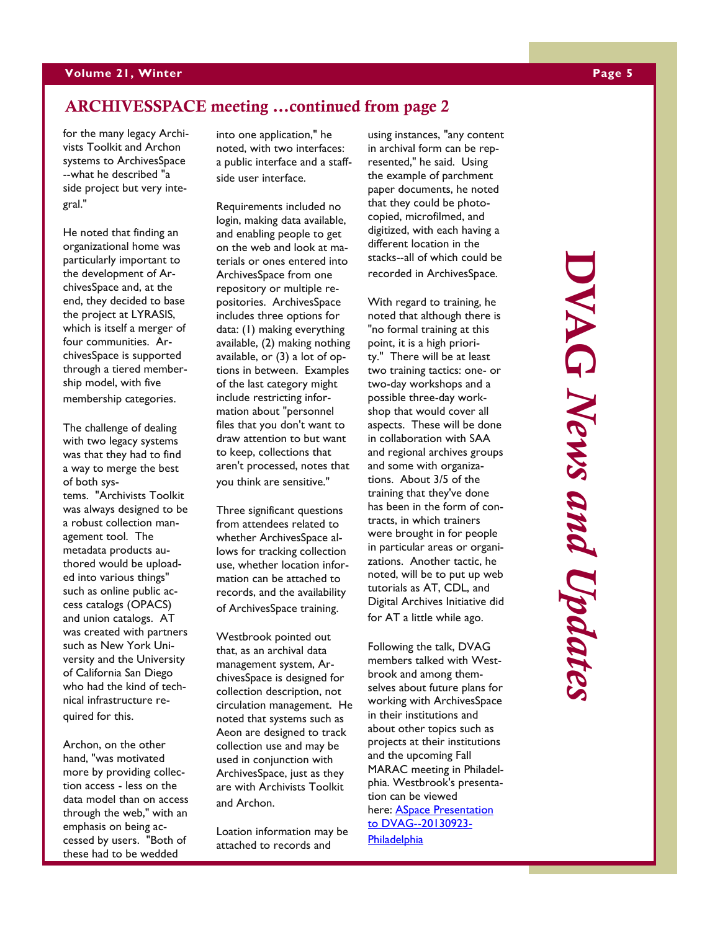### **ARCHIVESSPACE meeting …continued from page 2**

for the many legacy Archivists Toolkit and Archon systems to ArchivesSpace --what he described "a side project but very integral."

He noted that finding an organizational home was particularly important to the development of ArchivesSpace and, at the end, they decided to base the project at LYRASIS, which is itself a merger of four communities. ArchivesSpace is supported through a tiered membership model, with five membership categories.

The challenge of dealing with two legacy systems was that they had to find a way to merge the best of both systems. "Archivists Toolkit was always designed to be a robust collection management tool. The metadata products authored would be uploaded into various things" such as online public access catalogs (OPACS) and union catalogs. AT was created with partners such as New York University and the University of California San Diego who had the kind of technical infrastructure required for this.

Archon, on the other hand, "was motivated more by providing collection access - less on the data model than on access through the web," with an emphasis on being accessed by users. "Both of these had to be wedded

into one application," he noted, with two interfaces: a public interface and a staffside user interface.

Requirements included no login, making data available, and enabling people to get on the web and look at materials or ones entered into ArchivesSpace from one repository or multiple repositories. ArchivesSpace includes three options for data: (1) making everything available, (2) making nothing available, or (3) a lot of options in between. Examples of the last category might include restricting information about "personnel files that you don't want to draw attention to but want to keep, collections that aren't processed, notes that you think are sensitive."

Three significant questions from attendees related to whether ArchivesSpace allows for tracking collection use, whether location information can be attached to records, and the availability of ArchivesSpace training.

Westbrook pointed out that, as an archival data management system, ArchivesSpace is designed for collection description, not circulation management. He noted that systems such as Aeon are designed to track collection use and may be used in conjunction with ArchivesSpace, just as they are with Archivists Toolkit and Archon.

Loation information may be attached to records and

using instances, "any content in archival form can be represented," he said. Using the example of parchment paper documents, he noted that they could be photocopied, microfilmed, and digitized, with each having a different location in the stacks--all of which could be recorded in ArchivesSpace.

With regard to training, he noted that although there is "no formal training at this point, it is a high priority." There will be at least two training tactics: one- or two-day workshops and a possible three-day workshop that would cover all aspects. These will be done in collaboration with SAA and regional archives groups and some with organizations. About 3/5 of the training that they've done has been in the form of contracts, in which trainers were brought in for people in particular areas or organizations. Another tactic, he noted, will be to put up web tutorials as AT, CDL, and Digital Archives Initiative did for AT a little while ago.

Following the talk, DVAG members talked with Westbrook and among themselves about future plans for working with ArchivesSpace in their institutions and about other topics such as projects at their institutions and the upcoming Fall MARAC meeting in Philadelphia. Westbrook's presentation can be viewed here: **ASpace Presentation** [to DVAG--20130923-](http://beta.dvarchivists.org/wp-content/uploads/2013/10/ASpace-Presentation-to-DVAG-20130923-Philadelphia.pdf) **[Philadelphia](http://beta.dvarchivists.org/wp-content/uploads/2013/10/ASpace-Presentation-to-DVAG-20130923-Philadelphia.pdf)** 

**DVAG** *News and Updates*DVAG News and Updates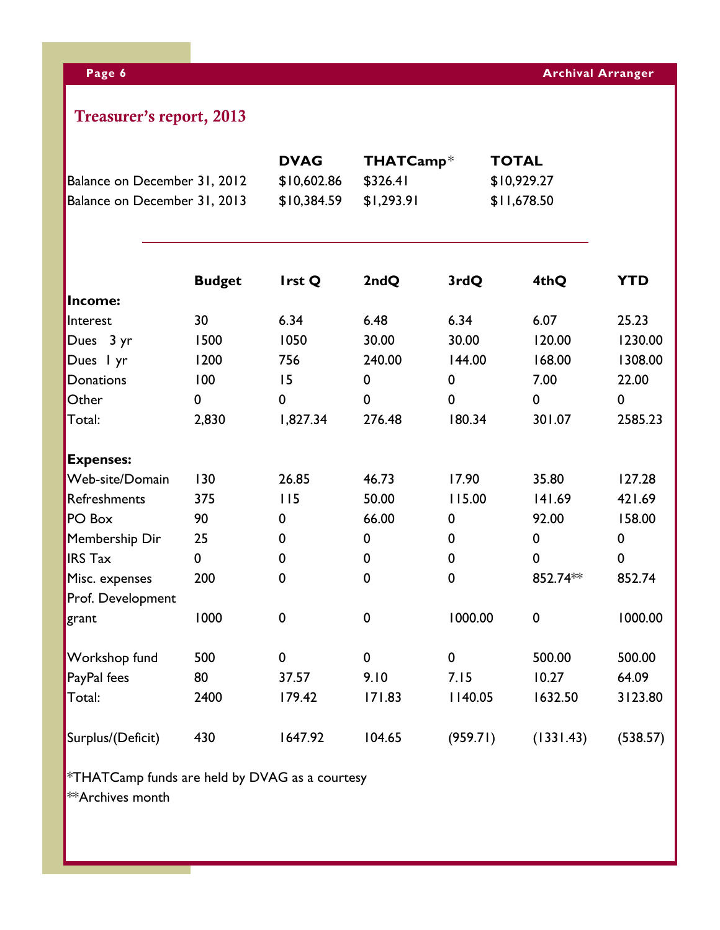# **Treasurer's report, 2013**

|                                                              |               | <b>DVAG</b> | THATCamp*   |             | <b>TOTAL</b> |             |
|--------------------------------------------------------------|---------------|-------------|-------------|-------------|--------------|-------------|
| Balance on December 31, 2012<br>Balance on December 31, 2013 |               | \$10,602.86 | \$326.41    |             | \$10,929.27  |             |
|                                                              |               | \$10,384.59 | \$1,293.91  |             | \$11,678.50  |             |
|                                                              |               |             |             |             |              |             |
|                                                              | <b>Budget</b> | Irst Q      | 2ndQ        | 3rdQ        | 4thQ         | <b>YTD</b>  |
| Income:                                                      |               |             |             |             |              |             |
| Interest                                                     | 30            | 6.34        | 6.48        | 6.34        | 6.07         | 25.23       |
| Dues 3 yr                                                    | 1500          | 1050        | 30.00       | 30.00       | 120.00       | 1230.00     |
| Dues I yr<br>1200                                            | 756           | 240.00      | 144.00      | 168.00      | 1308.00      |             |
| Donations                                                    | 100           | 15          | $\pmb{0}$   | 0           | 7.00         | 22.00       |
| Other                                                        | 0             | 0           | $\mathbf 0$ | $\mathbf 0$ | $\mathbf 0$  | $\mathbf 0$ |
| Total:                                                       | 2,830         | 1,827.34    | 276.48      | 180.34      | 301.07       | 2585.23     |
| <b>Expenses:</b>                                             |               |             |             |             |              |             |
| Web-site/Domain                                              | 130           | 26.85       | 46.73       | 17.90       | 35.80        | 127.28      |
| Refreshments                                                 | 375           | 115         | 50.00       | 115.00      | 141.69       | 421.69      |
| PO Box                                                       | 90            | 0           | 66.00       | 0           | 92.00        | 158.00      |
| Membership Dir                                               | 25<br>0       | $\pmb{0}$   |             | 0           | $\pmb{0}$    | $\mathbf 0$ |
| <b>IRS Tax</b>                                               | 0             | 0           | 0           | $\mathbf 0$ | $\mathbf 0$  | $\mathbf 0$ |
| Misc. expenses                                               | 200           | $\mathbf 0$ | $\mathbf 0$ | $\pmb{0}$   | 852.74**     | 852.74      |
| Prof. Development                                            |               |             |             |             |              |             |
| grant                                                        | 1000          | $\pmb{0}$   | $\pmb{0}$   | 1000.00     | $\mathbf 0$  | 1000.00     |
| Workshop fund                                                | 500           | 0           | $\mathbf 0$ | $\pmb{0}$   | 500.00       | 500.00      |
| PayPal fees                                                  | 80            | 37.57       | 9.10        | 7.15        | 10.27        | 64.09       |
| Total:                                                       | 2400          | 179.42      | 171.83      | I 140.05    | 1632.50      | 3123.80     |
| Surplus/(Deficit)                                            | 430           | 1647.92     | 104.65      | (959.71)    | (1331.43)    | (538.57)    |

 $*$ THATCamp funds are held by DVAG as a courtesy \*\*Archives month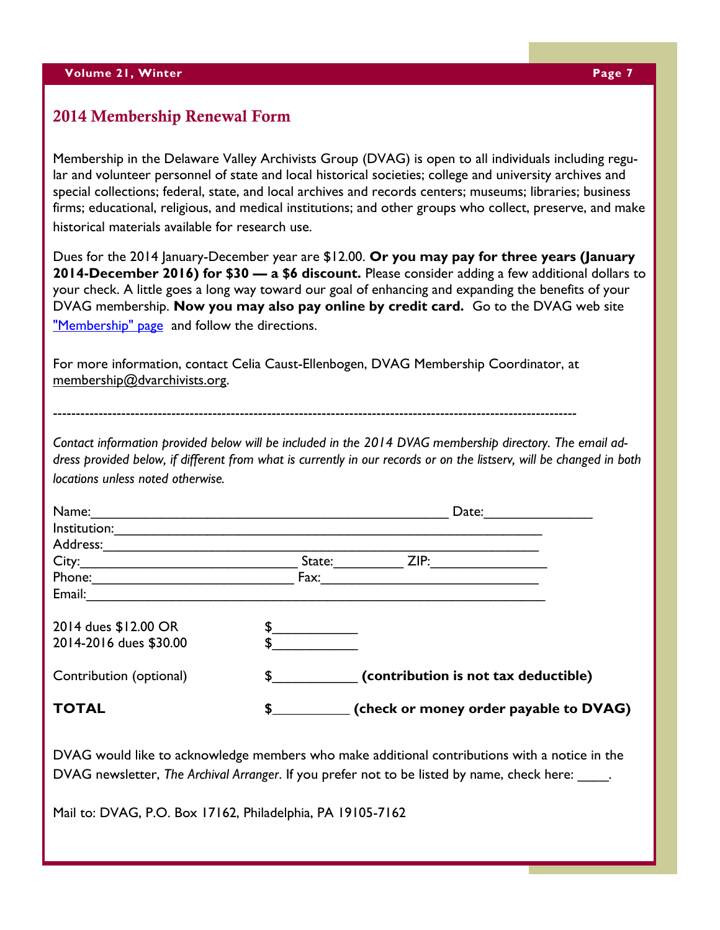### **2014 Membership Renewal Form**

Membership in the Delaware Valley Archivists Group (DVAG) is open to all individuals including regular and volunteer personnel of state and local historical societies; college and university archives and special collections; federal, state, and local archives and records centers; museums; libraries; business firms; educational, religious, and medical institutions; and other groups who collect, preserve, and make historical materials available for research use.

Dues for the 2014 January-December year are \$12.00. **Or you may pay for three years (January 2014-December 2016) for \$30 — a \$6 discount.** Please consider adding a few additional dollars to your check. A little goes a long way toward our goal of enhancing and expanding the benefits of your DVAG membership. **Now you may also pay online by credit card.** Go to the DVAG web site ["Membership" page](http://dvarchivists.org/membership/) and follow the directions.

For more information, contact Celia Caust-Ellenbogen, DVAG Membership Coordinator, at [membership@dvarchivists.org.](mailto:membership@dvarchivists.org)

-------------------------------------------------------------------------------------------------------------------

*Contact information provided below will be included in the 2014 DVAG membership directory. The email address provided below, if different from what is currently in our records or on the listserv, will be changed in both locations unless noted otherwise.* 

| Name:                   |              | Date:  |                                        |  |
|-------------------------|--------------|--------|----------------------------------------|--|
| Institution:            |              |        |                                        |  |
| Address:                |              |        |                                        |  |
| City:                   |              | State: | ZIP:                                   |  |
| Phone:                  |              | Fax:   |                                        |  |
| Email:                  |              |        |                                        |  |
| 2014 dues \$12.00 OR    |              |        |                                        |  |
| 2014-2016 dues \$30.00  |              |        |                                        |  |
| Contribution (optional) | $\mathbf{S}$ |        | (contribution is not tax deductible)   |  |
| <b>TOTAL</b>            | S            |        | (check or money order payable to DVAG) |  |

DVAG would like to acknowledge members who make additional contributions with a notice in the DVAG newsletter, *The Archival Arranger*. If you prefer not to be listed by name, check here:

Mail to: DVAG, P.O. Box 17162, Philadelphia, PA 19105-7162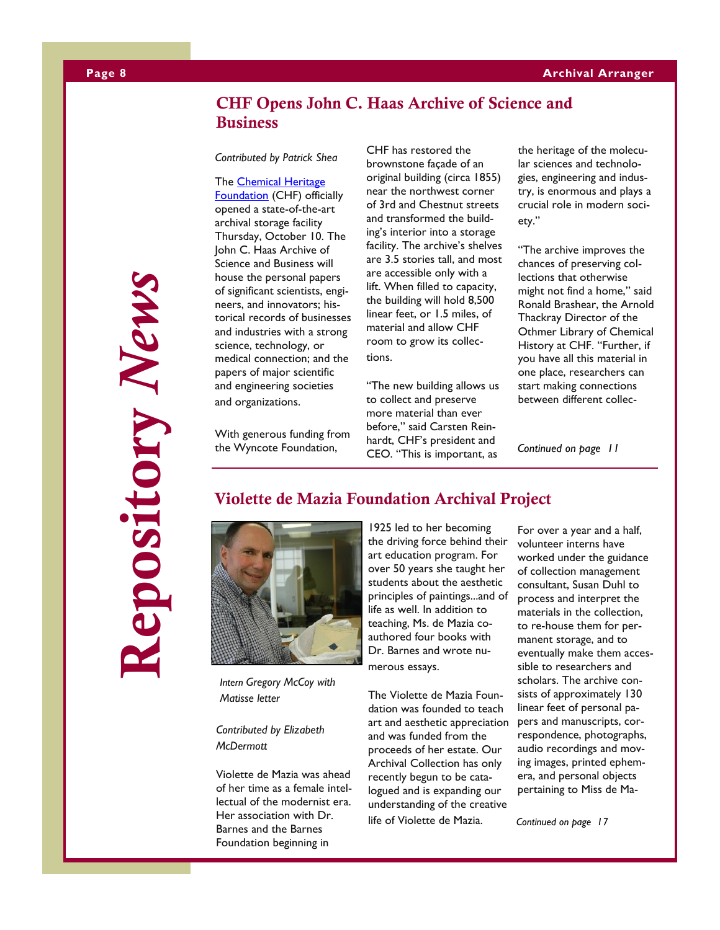### **CHF Opens John C. Haas Archive of Science and Business**

*Contributed by Patrick Shea*

The [Chemical Heritage](http://www.chemheritage.org/)  [Foundation](http://www.chemheritage.org/) (CHF) officially opened a state-of-the-art archival storage facility Thursday, October 10. The John C. Haas Archive of Science and Business will house the personal papers of significant scientists, engineers, and innovators; historical records of businesses and industries with a strong science, technology, or medical connection; and the papers of major scientific and engineering societies and organizations.

With generous funding from the Wyncote Foundation,

CHF has restored the brownstone façade of an original building (circa 1855) near the northwest corner of 3rd and Chestnut streets and transformed the building's interior into a storage facility. The archive's shelves are 3.5 stories tall, and most are accessible only with a lift. When filled to capacity, the building will hold 8,500 linear feet, or 1.5 miles, of material and allow CHF room to grow its collections.

"The new building allows us to collect and preserve more material than ever before," said Carsten Reinhardt, CHF's president and CEO. "This is important, as

the heritage of the molecular sciences and technologies, engineering and industry, is enormous and plays a crucial role in modern society."

"The archive improves the chances of preserving collections that otherwise might not find a home," said Ronald Brashear, the Arnold Thackray Director of the Othmer Library of Chemical History at CHF. "Further, if you have all this material in one place, researchers can start making connections between different collec-

*Continued on page 11*

# **Repository** *News* epository News

**Violette de Mazia Foundation Archival Project**



*Intern Gregory McCoy with Matisse letter*

*Contributed by Elizabeth McDermott*

Violette de Mazia was ahead of her time as a female intellectual of the modernist era. Her association with Dr. Barnes and the Barnes Foundation beginning in

1925 led to her becoming the driving force behind their art education program. For over 50 years she taught her students about the aesthetic principles of paintings...and of life as well. In addition to teaching, Ms. de Mazia coauthored four books with Dr. Barnes and wrote numerous essays.

The Violette de Mazia Foundation was founded to teach art and aesthetic appreciation and was funded from the proceeds of her estate. Our Archival Collection has only recently begun to be catalogued and is expanding our understanding of the creative life of Violette de Mazia.

For over a year and a half, volunteer interns have worked under the guidance of collection management consultant, Susan Duhl to process and interpret the materials in the collection, to re-house them for permanent storage, and to eventually make them accessible to researchers and scholars. The archive consists of approximately 130 linear feet of personal papers and manuscripts, correspondence, photographs, audio recordings and moving images, printed ephemera, and personal objects pertaining to Miss de Ma-

*Continued on page 17*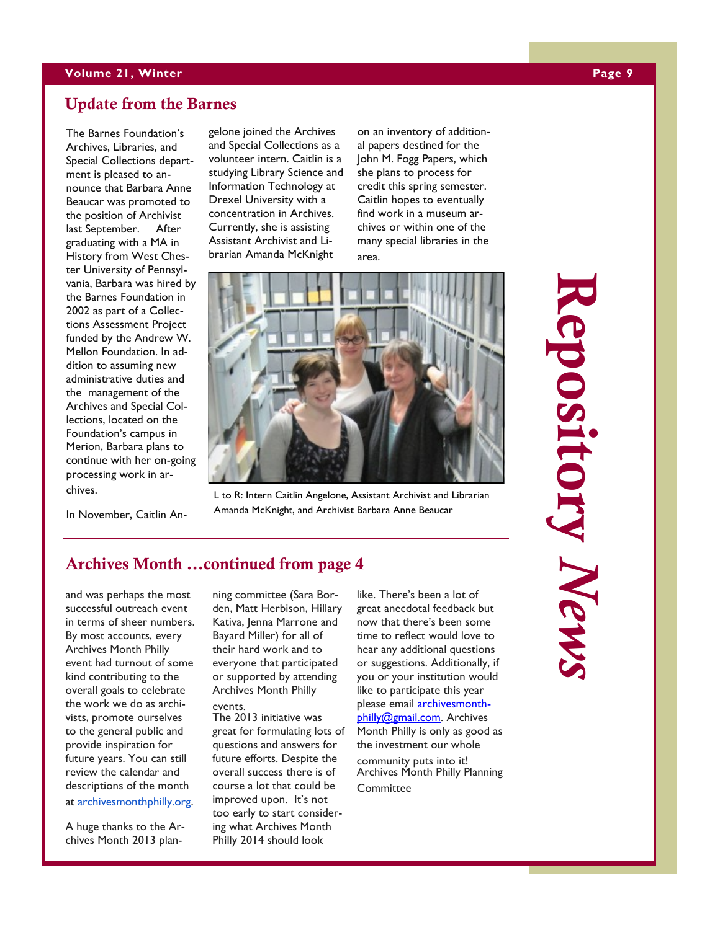### **Update from the Barnes**

The Barnes Foundation's Archives, Libraries, and Special Collections department is pleased to announce that Barbara Anne Beaucar was promoted to the position of Archivist last September. After graduating with a MA in History from West Chester University of Pennsylvania, Barbara was hired by the Barnes Foundation in 2002 as part of a Collections Assessment Project funded by the Andrew W. Mellon Foundation. In addition to assuming new administrative duties and the management of the Archives and Special Collections, located on the Foundation's campus in Merion, Barbara plans to continue with her on-going processing work in archives.

In November, Caitlin An-

gelone joined the Archives and Special Collections as a volunteer intern. Caitlin is a studying Library Science and Information Technology at Drexel University with a concentration in Archives. Currently, she is assisting Assistant Archivist and Librarian Amanda McKnight

on an inventory of additional papers destined for the John M. Fogg Papers, which she plans to process for credit this spring semester. Caitlin hopes to eventually find work in a museum archives or within one of the many special libraries in the area.



L to R: Intern Caitlin Angelone, Assistant Archivist and Librarian Amanda McKnight, and Archivist Barbara Anne Beaucar

### **Archives Month ...continued from page 4**

and was perhaps the most successful outreach event in terms of sheer numbers. By most accounts, every Archives Month Philly event had turnout of some kind contributing to the overall goals to celebrate the work we do as archivists, promote ourselves to the general public and provide inspiration for future years. You can still review the calendar and descriptions of the month at [archivesmonthphilly.org.](http://archivesmonthphilly.org/) 

A huge thanks to the Archives Month 2013 planning committee (Sara Borden, Matt Herbison, Hillary Kativa, Jenna Marrone and Bayard Miller) for all of their hard work and to everyone that participated or supported by attending Archives Month Philly events.

The 2013 initiative was great for formulating lots of questions and answers for future efforts. Despite the overall success there is of course a lot that could be improved upon. It's not too early to start considering what Archives Month Philly 2014 should look

like. There's been a lot of great anecdotal feedback but now that there's been some time to reflect would love to hear any additional questions or suggestions. Additionally, if you or your institution would like to participate this year please email **archivesmonth**[philly@gmail.com.](mailto:archivesmonthphilly@gmail.com) Archives Month Philly is only as good as the investment our whole community puts into it! Archives Month Philly Planning

**Committee** 

**Repository** *News* epository New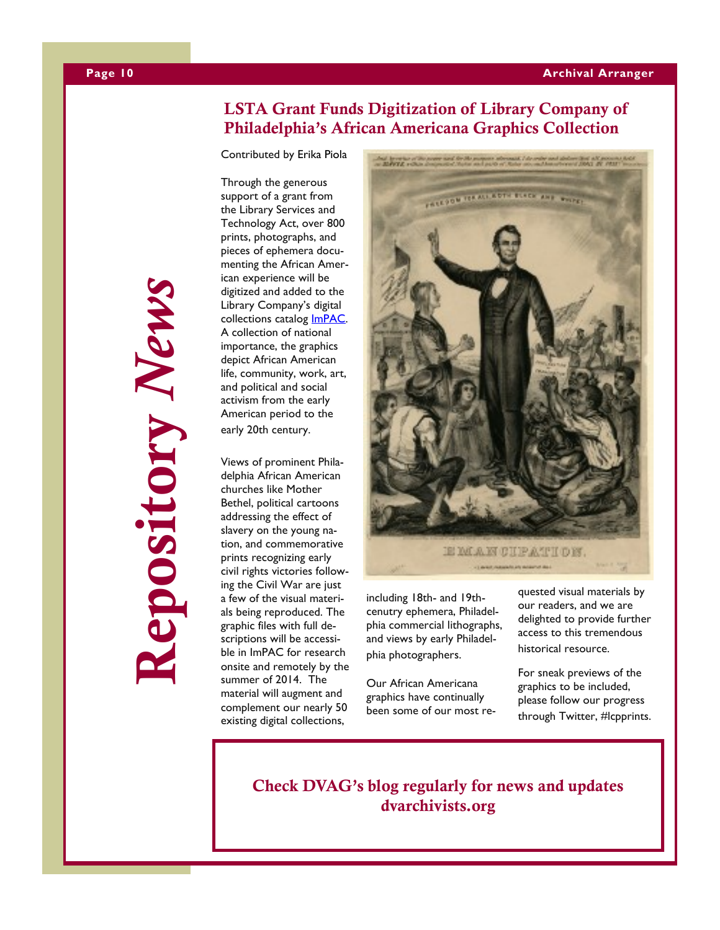### **LSTA Grant Funds Digitization of Library Company of Philadelphia's African Americana Graphics Collection**

Contributed by Erika Piola

Through the generous support of a grant from the Library Services and Technology Act, over 800 prints, photographs, and pieces of ephemera documenting the African American experience will be digitized and added to the Library Company's digital collections catalog [ImPAC.](http://www.lcpdigital.org/) A collection of national importance, the graphics depict African American life, community, work, art, and political and social activism from the early American period to the early 20th century.

Views of prominent Philadelphia African American churches like Mother Bethel, political cartoons addressing the effect of slavery on the young nation, and commemorative prints recognizing early civil rights victories following the Civil War are just a few of the visual materials being reproduced. The graphic files with full descriptions will be accessible in ImPAC for research onsite and remotely by the summer of 2014. The material will augment and complement our nearly 50 existing digital collections,



including 18th- and 19thcenutry ephemera, Philadelphia commercial lithographs, and views by early Philadelphia photographers.

Our African Americana graphics have continually been some of our most requested visual materials by our readers, and we are delighted to provide further access to this tremendous historical resource.

For sneak previews of the graphics to be included, please follow our progress through Twitter, #lcpprints.

**Check DVAG's blog regularly for news and updates dvarchivists.org**

**Repository** *News* epository News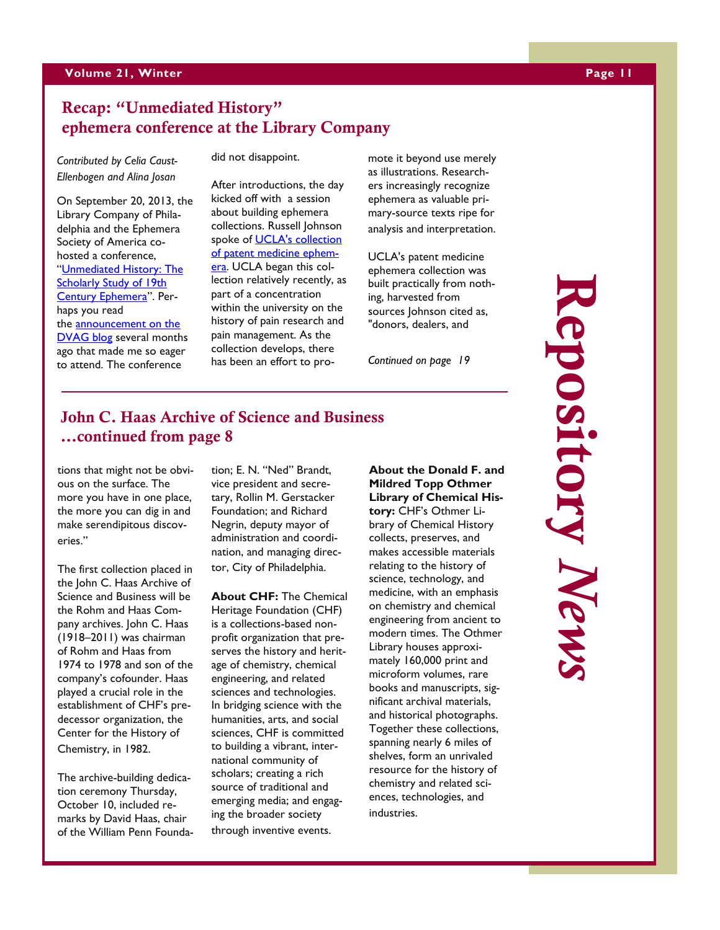### **Recap: "Unmediated History" ephemera conference at the Library Company**

*Contributed by Celia Caust - Ellenbogen and Alina Josan*

On September 20, 2013, the Library Company of Philadelphia and the Ephemera Society of America co hosted a conference, "[Unmediated History: The](http://www.librarycompany.org/visualculture/2013conference/)  **Scholarly Study of 19th** [Century Ephemera](http://www.librarycompany.org/visualculture/2013conference/)". Perhaps you read the [announcement on the](http://beta.dvarchivists.org/2013/04/30/new-exhibition-about-historical-ephemera-opening-at-the-library-company-of-philadelphia/)  [DVAG blog](http://beta.dvarchivists.org/2013/04/30/new-exhibition-about-historical-ephemera-opening-at-the-library-company-of-philadelphia/) several months ago that made me so eager to attend. The conference

did not disappoint.

After introductions, the day kicked off with a session about building ephemera collections. Russell Johnson spoke of [UCLA's collection](http://unitproj.library.ucla.edu/dlib/medicinecards/index.cfm)  [of patent medicine ephem](http://unitproj.library.ucla.edu/dlib/medicinecards/index.cfm)[era.](http://unitproj.library.ucla.edu/dlib/medicinecards/index.cfm) UCLA began this collection relatively recently, as part of a concentration within the university on the history of pain research and pain management. As the collection develops, there has been an effort to promote it beyond use merely as illustrations. Researchers increasingly recognize ephemera as valuable primary-source texts ripe for analysis and interpretation.

UCLA's patent medicine ephemera collection was built practically from nothing, harvested from sources Johnson cited as, "donors, dealers, and

*Continued on page 19*

### **John C. Haas Archive of Science and Business ...continued from page 8**

tions that might not be obvious on the surface. The more you have in one place, the more you can dig in and make serendipitous discoveries."

The first collection placed in the John C. Haas Archive of Science and Business will be the Rohm and Haas Company archives. John C. Haas (1918 –2011) was chairman of Rohm and Haas from 1974 to 1978 and son of the company's cofounder. Haas played a crucial role in the establishment of CHF's predecessor organization, the Center for the History of Chemistry, in 1982.

The archive -building dedication ceremony Thursday, October 10, included remarks by David Haas, chair of the William Penn Foundation; E. N. "Ned" Brandt, vice president and secretary, Rollin M. Gerstacker Foundation; and Richard Negrin, deputy mayor of administration and coordination, and managing director, City of Philadelphia.

**About CHF:** The Chemical Heritage Foundation (CHF) is a collections -based nonprofit organization that preserves the history and heritage of chemistry, chemical engineering, and related sciences and technologies. In bridging science with the humanities, arts, and social sciences, CHF is committed to building a vibrant, international community of scholars; creating a rich source of traditional and emerging media; and engaging the broader society through inventive events.

**About the Donald F. and Mildred Topp Othmer Library of Chemical History:** CHF's Othmer Library of Chemical History collects, preserves, and makes accessible materials relating to the history of science, technology, and medicine, with an emphasis on chemistry and chemical engineering from ancient to modern times. The Othmer Library houses approximately 160,000 print and microform volumes, rare books and manuscripts, significant archival materials, and historical photographs. Together these collections, spanning nearly 6 miles of shelves, form an unrivaled resource for the history of chemistry and related sciences, technologies, and industries.

**Repopository** *News* **Repository** *News* lepository News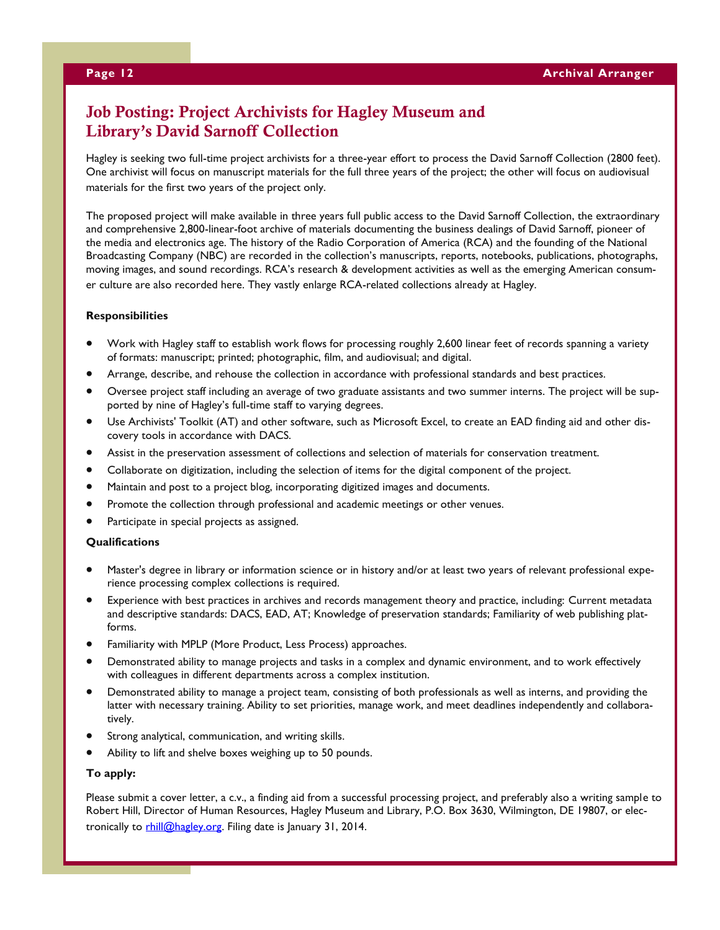### **Job Posting: Project Archivists for Hagley Museum and Library's David Sarnoff Collection**

Hagley is seeking two full-time project archivists for a three-year effort to process the David Sarnoff Collection (2800 feet). One archivist will focus on manuscript materials for the full three years of the project; the other will focus on audiovisual materials for the first two years of the project only.

The proposed project will make available in three years full public access to the David Sarnoff Collection, the extraordinary and comprehensive 2,800-linear-foot archive of materials documenting the business dealings of David Sarnoff, pioneer of the media and electronics age. The history of the Radio Corporation of America (RCA) and the founding of the National Broadcasting Company (NBC) are recorded in the collection's manuscripts, reports, notebooks, publications, photographs, moving images, and sound recordings. RCA's research & development activities as well as the emerging American consumer culture are also recorded here. They vastly enlarge RCA-related collections already at Hagley.

### **Responsibilities**

- Work with Hagley staff to establish work flows for processing roughly 2,600 linear feet of records spanning a variety of formats: manuscript; printed; photographic, film, and audiovisual; and digital.
- Arrange, describe, and rehouse the collection in accordance with professional standards and best practices.
- Oversee project staff including an average of two graduate assistants and two summer interns. The project will be supported by nine of Hagley's full-time staff to varying degrees.
- Use Archivists' Toolkit (AT) and other software, such as Microsoft Excel, to create an EAD finding aid and other discovery tools in accordance with DACS.
- Assist in the preservation assessment of collections and selection of materials for conservation treatment.
- Collaborate on digitization, including the selection of items for the digital component of the project.
- Maintain and post to a project blog, incorporating digitized images and documents.
- Promote the collection through professional and academic meetings or other venues.
- Participate in special projects as assigned.

### **Qualifications**

- Master's degree in library or information science or in history and/or at least two years of relevant professional experience processing complex collections is required.
- Experience with best practices in archives and records management theory and practice, including: Current metadata and descriptive standards: DACS, EAD, AT; Knowledge of preservation standards; Familiarity of web publishing platforms.
- Familiarity with MPLP (More Product, Less Process) approaches.
- Demonstrated ability to manage projects and tasks in a complex and dynamic environment, and to work effectively with colleagues in different departments across a complex institution.
- Demonstrated ability to manage a project team, consisting of both professionals as well as interns, and providing the latter with necessary training. Ability to set priorities, manage work, and meet deadlines independently and collaboratively.
- Strong analytical, communication, and writing skills.
- Ability to lift and shelve boxes weighing up to 50 pounds.

### **To apply:**

Please submit a cover letter, a c.v., a finding aid from a successful processing project, and preferably also a writing sample to Robert Hill, Director of Human Resources, Hagley Museum and Library, P.O. Box 3630, Wilmington, DE 19807, or electronically to [rhill@hagley.org.](mailto:rhill@hagley.org) Filing date is January 31, 2014.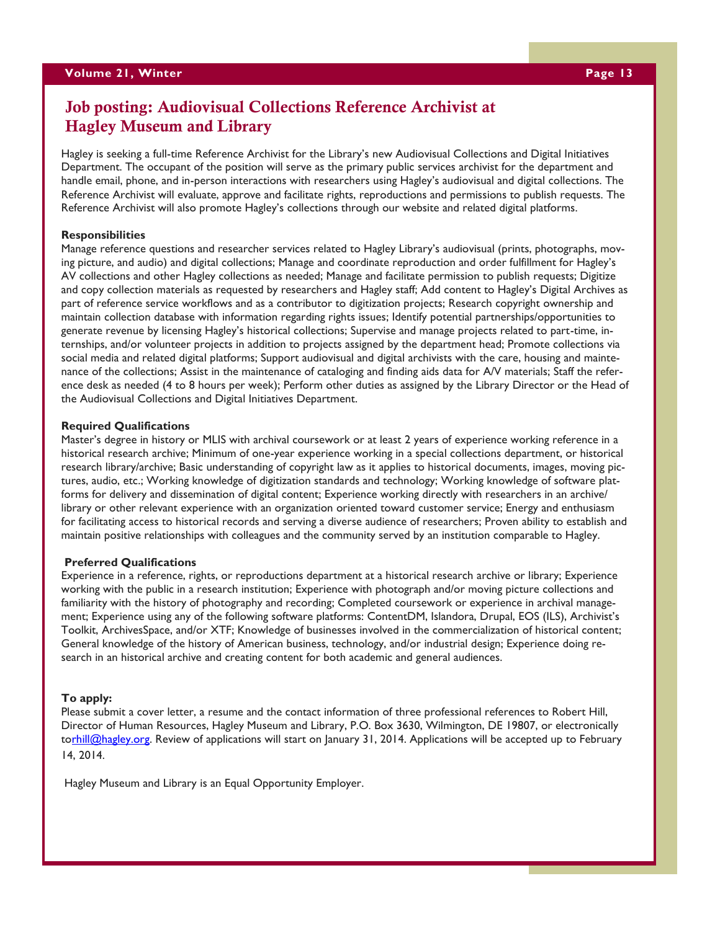### **Job posting: Audiovisual Collections Reference Archivist at Hagley Museum and Library**

Hagley is seeking a full-time Reference Archivist for the Library's new Audiovisual Collections and Digital Initiatives Department. The occupant of the position will serve as the primary public services archivist for the department and handle email, phone, and in-person interactions with researchers using Hagley's audiovisual and digital collections. The Reference Archivist will evaluate, approve and facilitate rights, reproductions and permissions to publish requests. The Reference Archivist will also promote Hagley's collections through our website and related digital platforms.

### **Responsibilities**

Manage reference questions and researcher services related to Hagley Library's audiovisual (prints, photographs, moving picture, and audio) and digital collections; Manage and coordinate reproduction and order fulfillment for Hagley's AV collections and other Hagley collections as needed; Manage and facilitate permission to publish requests; Digitize and copy collection materials as requested by researchers and Hagley staff; Add content to Hagley's Digital Archives as part of reference service workflows and as a contributor to digitization projects; Research copyright ownership and maintain collection database with information regarding rights issues; Identify potential partnerships/opportunities to generate revenue by licensing Hagley's historical collections; Supervise and manage projects related to part-time, internships, and/or volunteer projects in addition to projects assigned by the department head; Promote collections via social media and related digital platforms; Support audiovisual and digital archivists with the care, housing and maintenance of the collections; Assist in the maintenance of cataloging and finding aids data for A/V materials; Staff the reference desk as needed (4 to 8 hours per week); Perform other duties as assigned by the Library Director or the Head of the Audiovisual Collections and Digital Initiatives Department.

### **Required Qualifications**

Master's degree in history or MLIS with archival coursework or at least 2 years of experience working reference in a historical research archive; Minimum of one-year experience working in a special collections department, or historical research library/archive; Basic understanding of copyright law as it applies to historical documents, images, moving pictures, audio, etc.; Working knowledge of digitization standards and technology; Working knowledge of software platforms for delivery and dissemination of digital content; Experience working directly with researchers in an archive/ library or other relevant experience with an organization oriented toward customer service; Energy and enthusiasm for facilitating access to historical records and serving a diverse audience of researchers; Proven ability to establish and maintain positive relationships with colleagues and the community served by an institution comparable to Hagley.

### **Preferred Qualifications**

Experience in a reference, rights, or reproductions department at a historical research archive or library; Experience working with the public in a research institution; Experience with photograph and/or moving picture collections and familiarity with the history of photography and recording; Completed coursework or experience in archival management; Experience using any of the following software platforms: ContentDM, Islandora, Drupal, EOS (ILS), Archivist's Toolkit, ArchivesSpace, and/or XTF; Knowledge of businesses involved in the commercialization of historical content; General knowledge of the history of American business, technology, and/or industrial design; Experience doing research in an historical archive and creating content for both academic and general audiences.

### **To apply:**

Please submit a cover letter, a resume and the contact information of three professional references to Robert Hill, Director of Human Resources, Hagley Museum and Library, P.O. Box 3630, Wilmington, DE 19807, or electronically to[rhill@hagley.org.](mailto:rhill@hagley.org) Review of applications will start on January 31, 2014. Applications will be accepted up to February 14, 2014.

Hagley Museum and Library is an Equal Opportunity Employer.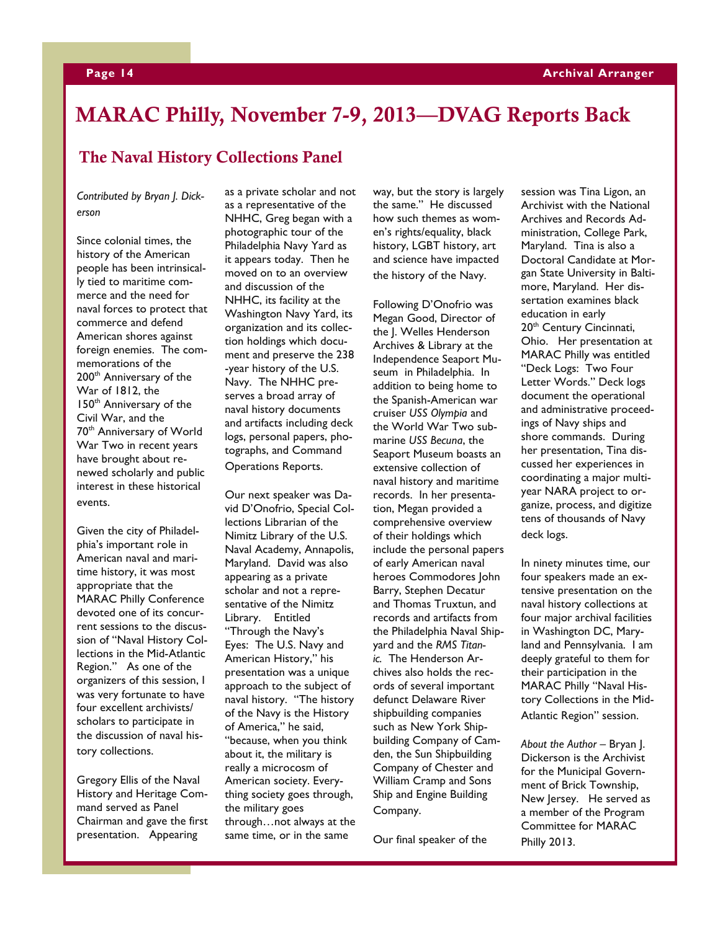# **MARAC Philly, November 7-9, 2013—DVAG Reports Back**

### **The Naval History Collections Panel**

*Contributed by Bryan J. Dickerson*

Since colonial times, the history of the American people has been intrinsically tied to maritime commerce and the need for naval forces to protect that commerce and defend American shores against foreign enemies. The commemorations of the 200<sup>th</sup> Anniversary of the War of 1812, the 150<sup>th</sup> Anniversary of the Civil War, and the 70th Anniversary of World War Two in recent years have brought about renewed scholarly and public interest in these historical events.

Given the city of Philadelphia's important role in American naval and maritime history, it was most appropriate that the MARAC Philly Conference devoted one of its concurrent sessions to the discussion of "Naval History Collections in the Mid-Atlantic Region." As one of the organizers of this session, I was very fortunate to have four excellent archivists/ scholars to participate in the discussion of naval history collections.

Gregory Ellis of the Naval History and Heritage Command served as Panel Chairman and gave the first presentation. Appearing

as a private scholar and not as a representative of the NHHC, Greg began with a photographic tour of the Philadelphia Navy Yard as it appears today. Then he moved on to an overview and discussion of the NHHC, its facility at the Washington Navy Yard, its organization and its collection holdings which document and preserve the 238 -year history of the U.S. Navy. The NHHC preserves a broad array of naval history documents and artifacts including deck logs, personal papers, photographs, and Command Operations Reports.

Our next speaker was David D'Onofrio, Special Collections Librarian of the Nimitz Library of the U.S. Naval Academy, Annapolis, Maryland. David was also appearing as a private scholar and not a representative of the Nimitz Library. Entitled "Through the Navy's Eyes: The U.S. Navy and American History," his presentation was a unique approach to the subject of naval history. "The history of the Navy is the History of America," he said, "because, when you think about it, the military is really a microcosm of American society. Everything society goes through, the military goes through…not always at the same time, or in the same

way, but the story is largely the same." He discussed how such themes as women's rights/equality, black history, LGBT history, art and science have impacted the history of the Navy.

Following D'Onofrio was Megan Good, Director of the J. Welles Henderson Archives & Library at the Independence Seaport Museum in Philadelphia. In addition to being home to the Spanish-American war cruiser *USS Olympia* and the World War Two submarine *USS Becuna*, the Seaport Museum boasts an extensive collection of naval history and maritime records. In her presentation, Megan provided a comprehensive overview of their holdings which include the personal papers of early American naval heroes Commodores John Barry, Stephen Decatur and Thomas Truxtun, and records and artifacts from the Philadelphia Naval Shipyard and the *RMS Titanic.* The Henderson Archives also holds the records of several important defunct Delaware River shipbuilding companies such as New York Shipbuilding Company of Camden, the Sun Shipbuilding Company of Chester and William Cramp and Sons Ship and Engine Building Company.

Our final speaker of the

session was Tina Ligon, an Archivist with the National Archives and Records Administration, College Park, Maryland. Tina is also a Doctoral Candidate at Morgan State University in Baltimore, Maryland. Her dissertation examines black education in early 20<sup>th</sup> Century Cincinnati, Ohio. Her presentation at MARAC Philly was entitled "Deck Logs: Two Four Letter Words." Deck logs document the operational and administrative proceedings of Navy ships and shore commands. During her presentation, Tina discussed her experiences in coordinating a major multiyear NARA project to organize, process, and digitize tens of thousands of Navy deck logs.

In ninety minutes time, our four speakers made an extensive presentation on the naval history collections at four major archival facilities in Washington DC, Maryland and Pennsylvania. I am deeply grateful to them for their participation in the MARAC Philly "Naval History Collections in the Mid-Atlantic Region" session.

*About the Author –* Bryan J. Dickerson is the Archivist for the Municipal Government of Brick Township, New Jersey. He served as a member of the Program Committee for MARAC Philly 2013.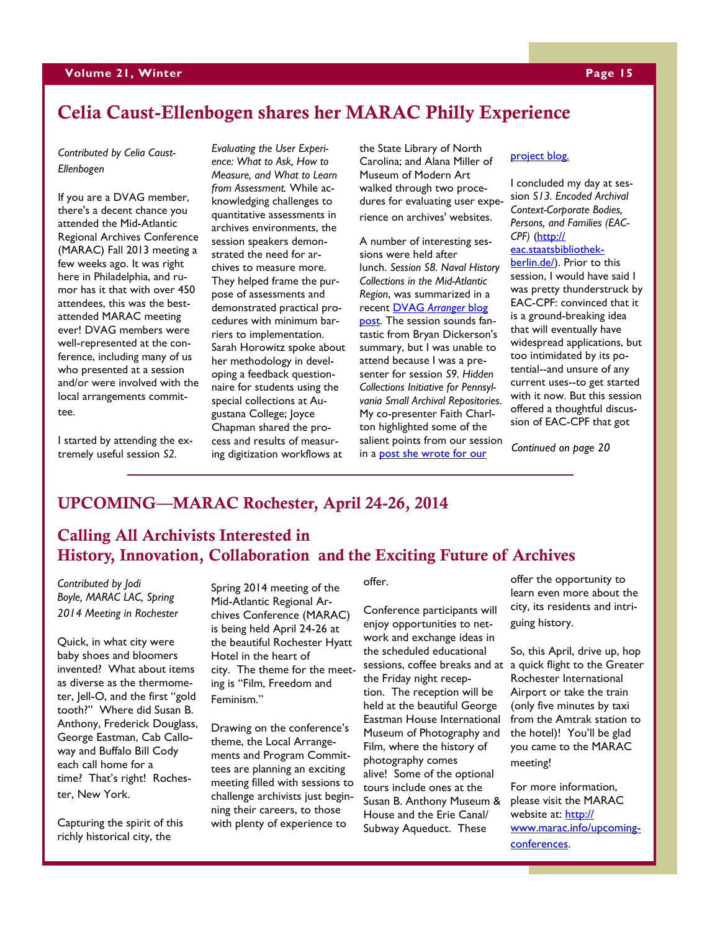## **Celia Caust-Ellenbogen shares her MARAC Philly Experience**

*Contributed by Celia Caust-Ellenbogen*

If you are a DVAG member, there's a decent chance you attended the Mid-Atlantic Regional Archives Conference (MARAC) Fall 2013 meeting a few weeks ago. It was right here in Philadelphia, and rumor has it that with over 450 attendees, this was the bestattended MARAC meeting ever! DVAG members were well-represented at the conference, including many of us who presented at a session and/or were involved with the local arrangements committee.

I started by attending the extremely useful session *S2.* 

*Evaluating the User Experience: What to Ask, How to Measure, and What to Learn from Assessment.* While acknowledging challenges to quantitative assessments in archives environments, the session speakers demonstrated the need for archives to measure more. They helped frame the purpose of assessments and demonstrated practical procedures with minimum barriers to implementation. Sarah Horowitz spoke about her methodology in developing a feedback questionnaire for students using the special collections at Augustana College; Joyce Chapman shared the process and results of measuring digitization workflows at

the State Library of North Carolina; and Alana Miller of Museum of Modern Art walked through two procedures for evaluating user experience on archives' websites.

A number of interesting sessions were held after lunch. *Session S8. Naval History Collections in the Mid-Atlantic Region*, was summarized in a recent DVAG *[Arranger](http://beta.dvarchivists.org/2013/11/20/marac-philly-2013-the-naval-history-collections-panel/)* blog [post.](http://beta.dvarchivists.org/2013/11/20/marac-philly-2013-the-naval-history-collections-panel/) The session sounds fantastic from Bryan Dickerson's summary, but I was unable to attend because I was a presenter for session *S9. Hidden Collections Initiative for Pennsylvania Small Archival Repositories*. My co-presenter Faith Charlton highlighted some of the salient points from our session in a [post she wrote for our](http://hsp.org/blogs/archival-adventures-in-small-repositories/marac-and-a-fond-farewell) 

### [project blog.](http://hsp.org/blogs/archival-adventures-in-small-repositories/marac-and-a-fond-farewell)

I concluded my day at session *S13. Encoded Archival Context-Corporate Bodies, Persons, and Families (EAC-CPF)* ([http://](http://eac.staatsbibliothek-berlin.de/)

### [eac.staatsbibliothek-](http://eac.staatsbibliothek-berlin.de/)

[berlin.de/\).](http://eac.staatsbibliothek-berlin.de/) Prior to this session, I would have said I was pretty thunderstruck by EAC-CPF: convinced that it is a ground-breaking idea that will eventually have widespread applications, but too intimidated by its potential--and unsure of any current uses--to get started with it now. But this session offered a thoughtful discussion of EAC-CPF that got

*Continued on page 20*

### **UPCOMING—MARAC Rochester, April 24-26, 2014**

### **Calling All Archivists Interested in History, Innovation, Collaboration and the Exciting Future of Archives**

*Contributed by Jodi Boyle, MARAC LAC, Spring 2014 Meeting in Rochester*

Quick, in what city were baby shoes and bloomers invented? What about items as diverse as the thermometer, Jell-O, and the first "gold tooth?" Where did Susan B. Anthony, Frederick Douglass, George Eastman, Cab Calloway and Buffalo Bill Cody each call home for a time? That's right! Rochester, New York.

Capturing the spirit of this richly historical city, the

Spring 2014 meeting of the Mid-Atlantic Regional Archives Conference (MARAC) is being held April 24-26 at the beautiful Rochester Hyatt Hotel in the heart of city. The theme for the meeting is "Film, Freedom and Feminism."

Drawing on the conference's theme, the Local Arrangements and Program Committees are planning an exciting meeting filled with sessions to challenge archivists just beginning their careers, to those with plenty of experience to

offer.

Conference participants will enjoy opportunities to network and exchange ideas in the scheduled educational sessions, coffee breaks and at a quick flight to the Greater the Friday night reception. The reception will be held at the beautiful George Eastman House International Museum of Photography and Film, where the history of photography comes alive! Some of the optional tours include ones at the Susan B. Anthony Museum & House and the Erie Canal/ Subway Aqueduct. These

offer the opportunity to learn even more about the city, its residents and intriguing history.

So, this April, drive up, hop Rochester International Airport or take the train (only five minutes by taxi from the Amtrak station to the hotel)! You'll be glad you came to the MARAC meeting!

For more information, please visit the MARAC website at: **[http://](http://www.marac.info/upcoming-conferences)** [www.marac.info/upcoming](http://www.marac.info/upcoming-conferences)[conferences.](http://www.marac.info/upcoming-conferences)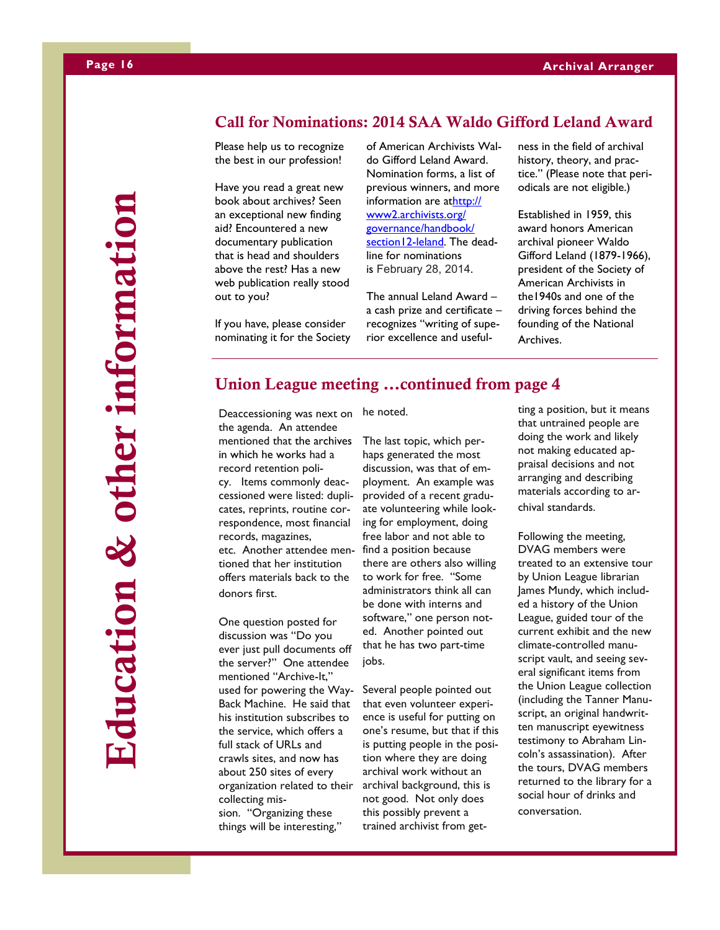# **Education & other information**Education & other information

**Call for Nominations: 2014 SAA Waldo Gifford Leland Award** 

Please help us to recognize the best in our profession!

Have you read a great new book about archives? Seen an exceptional new finding aid? Encountered a new documentary publication that is head and shoulders above the rest? Has a new web publication really stood out to you?

If you have, please consider nominating it for the Society

of American Archivists Waldo Gifford Leland Award. Nomination forms, a list of previous winners, and more information are at[http://](http://www2.archivists.org/governance/handbook/section12-leland) [www2.archivists.org/](http://www2.archivists.org/governance/handbook/section12-leland) [governance/handbook/](http://www2.archivists.org/governance/handbook/section12-leland) [section12-leland.](http://www2.archivists.org/governance/handbook/section12-leland) The deadline for nominations is February 28, 2014.

The annual Leland Award – a cash prize and certificate – recognizes "writing of superior excellence and usefulness in the field of archival history, theory, and practice." (Please note that periodicals are not eligible.)

Established in 1959, this award honors American archival pioneer Waldo Gifford Leland (1879-1966), president of the Society of American Archivists in the1940s and one of the driving forces behind the founding of the National Archives.

### **Union League meeting ...continued from page 4**

Deaccessioning was next on he noted. the agenda. An attendee mentioned that the archives in which he works had a record retention poli-

cy. Items commonly deaccessioned were listed: duplicates, reprints, routine correspondence, most financial records, magazines, etc. Another attendee mentioned that her institution offers materials back to the donors first.

One question posted for discussion was "Do you ever just pull documents off the server?" One attendee mentioned "Archive-It," used for powering the Way-Back Machine. He said that his institution subscribes to the service, which offers a full stack of URLs and crawls sites, and now has about 250 sites of every organization related to their collecting mission. "Organizing these things will be interesting,"

The last topic, which perhaps generated the most discussion, was that of employment. An example was provided of a recent graduate volunteering while looking for employment, doing free labor and not able to find a position because there are others also willing to work for free. "Some administrators think all can be done with interns and software," one person noted. Another pointed out that he has two part-time jobs.

Several people pointed out that even volunteer experience is useful for putting on one's resume, but that if this is putting people in the position where they are doing archival work without an archival background, this is not good. Not only does this possibly prevent a trained archivist from getting a position, but it means that untrained people are doing the work and likely not making educated appraisal decisions and not arranging and describing materials according to archival standards.

Following the meeting, DVAG members were treated to an extensive tour by Union League librarian James Mundy, which included a history of the Union League, guided tour of the current exhibit and the new climate-controlled manuscript vault, and seeing several significant items from the Union League collection (including the Tanner Manuscript, an original handwritten manuscript eyewitness testimony to Abraham Lincoln's assassination). After the tours, DVAG members returned to the library for a social hour of drinks and conversation.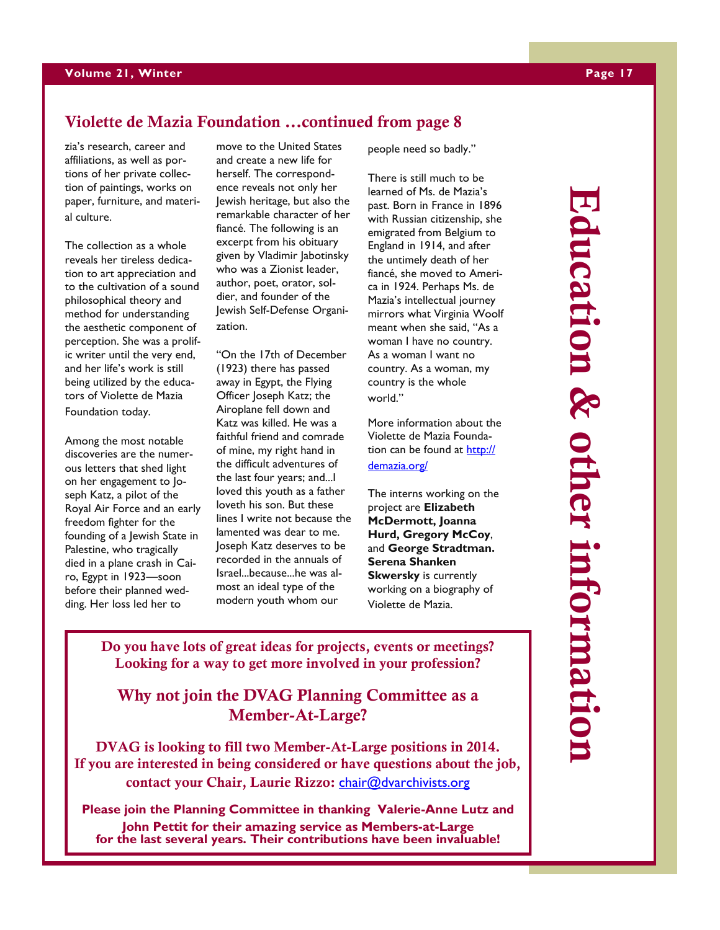### **Violette de Mazia Foundation ...continued from page 8**

zia's research, career and affiliations, as well as portions of her private collection of paintings, works on paper, furniture, and material culture.

The collection as a whole reveals her tireless dedication to art appreciation and to the cultivation of a sound philosophical theory and method for understanding the aesthetic component of perception. She was a prolific writer until the very end, and her life's work is still being utilized by the educators of Violette de Mazia Foundation today.

Among the most notable discoveries are the numerous letters that shed light on her engagement to Joseph Katz, a pilot of the Royal Air Force and an early freedom fighter for the founding of a Jewish State in Palestine, who tragically died in a plane crash in Cairo, Egypt in 1923—soon before their planned wedding. Her loss led her to

move to the United States and create a new life for herself. The correspondence reveals not only her Jewish heritage, but also the remarkable character of her fiancé. The following is an excerpt from his obituary given by Vladimir Jabotinsky who was a Zionist leader, author, poet, orator, soldier, and founder of the Jewish Self-Defense Organization.

"On the 17th of December (1923) there has passed away in Egypt, the Flying Officer Joseph Katz; the Airoplane fell down and Katz was killed. He was a faithful friend and comrade of mine, my right hand in the difficult adventures of the last four years; and...I loved this youth as a father loveth his son. But these lines I write not because the lamented was dear to me. Joseph Katz deserves to be recorded in the annuals of Israel...because...he was almost an ideal type of the modern youth whom our

people need so badly."

There is still much to be learned of Ms. de Mazia's past. Born in France in 1896 with Russian citizenship, she emigrated from Belgium to England in 1914, and after the untimely death of her fiancé, she moved to America in 1924. Perhaps Ms. de Mazia's intellectual journey mirrors what Virginia Woolf meant when she said, "As a woman I have no country. As a woman I want no country. As a woman, my country is the whole world."

More information about the Violette de Mazia Foundation can be found at [http://](http://demazia.org/) [demazia.org/](http://demazia.org/)

The interns working on the project are **Elizabeth McDermott, Joanna Hurd, Gregory McCoy**, and **George Stradtman. Serena Shanken Skwersky** is currently working on a biography of Violette de Mazia.

**Education & other information** Education & other informatio

**Do you have lots of great ideas for projects, events or meetings? Looking for a way to get more involved in your profession?**

**Why not join the DVAG Planning Committee as a Member-At-Large?**

**DVAG is looking to fill two Member-At-Large positions in 2014. If you are interested in being considered or have questions about the job, contact your Chair, Laurie Rizzo:** [chair@dvarchivists.org](mailto:chair@dvarchivists.org)

**Please join the Planning Committee in thanking Valerie-Anne Lutz and John Pettit for their amazing service as Members-at-Large for the last several years. Their contributions have been invaluable!**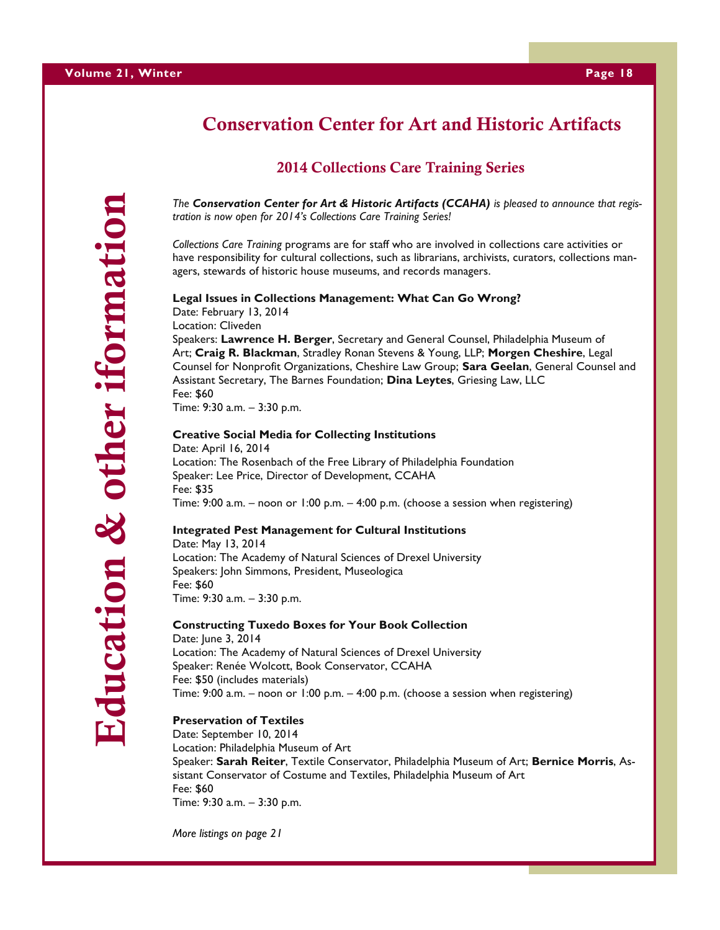# **Conservation Center for Art and Historic Artifacts**

### **2014 Collections Care Training Series**

*The Conservation Center for Art & Historic Artifacts (CCAHA) is pleased to announce that registration is now open for 2014's Collections Care Training Series!*

*Collections Care Training* programs are for staff who are involved in collections care activities or have responsibility for cultural collections, such as librarians, archivists, curators, collections managers, stewards of historic house museums, and records managers.

### **Legal Issues in Collections Management: What Can Go Wrong?**

Date: February 13, 2014 Location: Cliveden Speakers: **Lawrence H. Berger**, Secretary and General Counsel, Philadelphia Museum of Art; **Craig R. Blackman**, Stradley Ronan Stevens & Young, LLP; **Morgen Cheshire**, Legal Counsel for Nonprofit Organizations, Cheshire Law Group; **Sara Geelan**, General Counsel and Assistant Secretary, The Barnes Foundation; **Dina Leytes**, Griesing Law, LLC Fee: \$60

Time: 9:30 a.m. – 3:30 p.m.

### **Creative Social Media for Collecting Institutions**

Date: April 16, 2014 Location: The Rosenbach of the Free Library of Philadelphia Foundation Speaker: Lee Price, Director of Development, CCAHA Fee: \$35 Time: 9:00 a.m. – noon or 1:00 p.m. – 4:00 p.m. (choose a session when registering)

### **Integrated Pest Management for Cultural Institutions**

Date: May 13, 2014 Location: The Academy of Natural Sciences of Drexel University Speakers: John Simmons, President, Museologica Fee: \$60 Time: 9:30 a.m. – 3:30 p.m.

### **Constructing Tuxedo Boxes for Your Book Collection**

Date: June 3, 2014 Location: The Academy of Natural Sciences of Drexel University Speaker: Renée Wolcott, Book Conservator, CCAHA Fee: \$50 (includes materials) Time: 9:00 a.m. – noon or 1:00 p.m. – 4:00 p.m. (choose a session when registering)

### **Preservation of Textiles**

Date: September 10, 2014 Location: Philadelphia Museum of Art Speaker: **Sarah Reiter**, Textile Conservator, Philadelphia Museum of Art; **Bernice Morris**, Assistant Conservator of Costume and Textiles, Philadelphia Museum of Art Fee: \$60 Time: 9:30 a.m. – 3:30 p.m.

*More listings on page 21*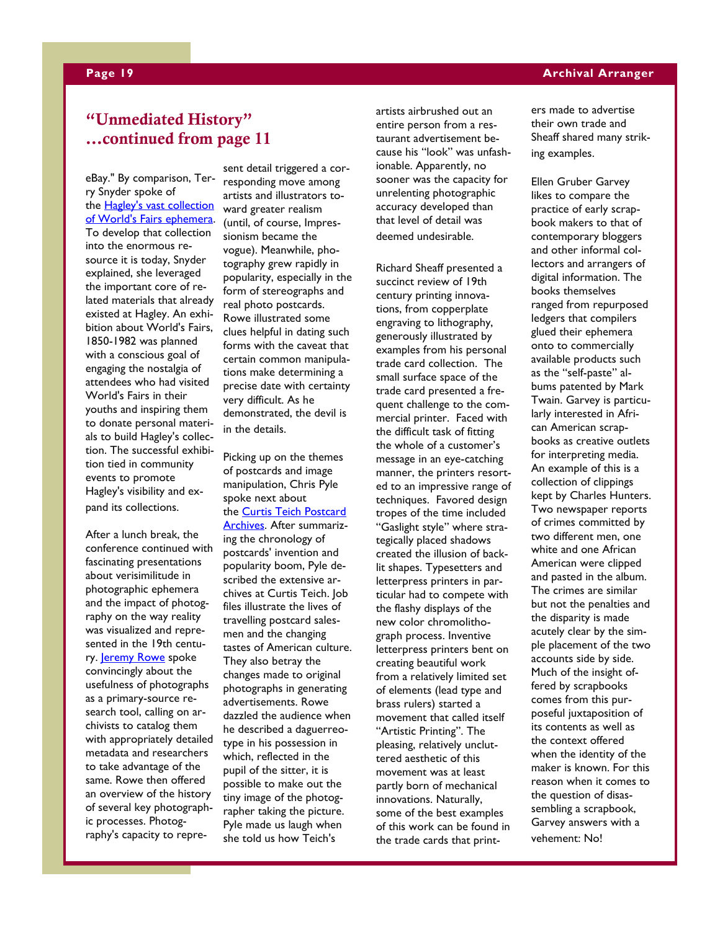### **Page 19 Archival Arranger**

### **"Unmediated History" ...continued from page 11**

eBay." By comparison, Terry Snyder spoke of the [Hagley's vast collection](http://www.hagley.org/library-guide-wf)  [of World's Fairs ephemera.](http://www.hagley.org/library-guide-wf) To develop that collection into the enormous resource it is today, Snyder explained, she leveraged the important core of related materials that already existed at Hagley. An exhibition about World's Fairs, 1850-1982 was planned with a conscious goal of engaging the nostalgia of attendees who had visited World's Fairs in their youths and inspiring them to donate personal materials to build Hagley's collection. The successful exhibition tied in community events to promote Hagley's visibility and expand its collections.

After a lunch break, the conference continued with fascinating presentations about verisimilitude in photographic ephemera and the impact of photography on the way reality was visualized and represented in the 19th centu-ry. [Jeremy Rowe](http://vintagephoto.com/) spoke convincingly about the usefulness of photographs as a primary-source research tool, calling on archivists to catalog them with appropriately detailed metadata and researchers to take advantage of the same. Rowe then offered an overview of the history of several key photographic processes. Photography's capacity to repre-

sent detail triggered a corresponding move among artists and illustrators toward greater realism (until, of course, Impressionism became the vogue). Meanwhile, photography grew rapidly in popularity, especially in the form of stereographs and real photo postcards. Rowe illustrated some clues helpful in dating such forms with the caveat that certain common manipulations make determining a precise date with certainty very difficult. As he demonstrated, the devil is in the details.

Picking up on the themes of postcards and image manipulation, Chris Pyle spoke next about the [Curtis Teich Postcard](http://www.lcfpd.org/teich_archives/)  [Archives.](http://www.lcfpd.org/teich_archives/) After summarizing the chronology of postcards' invention and popularity boom, Pyle described the extensive archives at Curtis Teich. Job files illustrate the lives of travelling postcard salesmen and the changing tastes of American culture. They also betray the changes made to original photographs in generating advertisements. Rowe dazzled the audience when he described a daguerreotype in his possession in which, reflected in the pupil of the sitter, it is possible to make out the tiny image of the photographer taking the picture. Pyle made us laugh when she told us how Teich's

artists airbrushed out an entire person from a restaurant advertisement because his "look" was unfashionable. Apparently, no sooner was the capacity for unrelenting photographic accuracy developed than that level of detail was deemed undesirable.

Richard Sheaff presented a succinct review of 19th century printing innovations, from copperplate engraving to lithography, generously illustrated by examples from his personal trade card collection. The small surface space of the trade card presented a frequent challenge to the commercial printer. Faced with the difficult task of fitting the whole of a customer's message in an eye-catching manner, the printers resorted to an impressive range of techniques. Favored design tropes of the time included "Gaslight style" where strategically placed shadows created the illusion of backlit shapes. Typesetters and letterpress printers in particular had to compete with the flashy displays of the new color chromolithograph process. Inventive letterpress printers bent on creating beautiful work from a relatively limited set of elements (lead type and brass rulers) started a movement that called itself "Artistic Printing". The pleasing, relatively uncluttered aesthetic of this movement was at least partly born of mechanical innovations. Naturally, some of the best examples of this work can be found in the trade cards that printers made to advertise their own trade and Sheaff shared many striking examples.

Ellen Gruber Garvey likes to compare the practice of early scrapbook makers to that of contemporary bloggers and other informal collectors and arrangers of digital information. The books themselves ranged from repurposed ledgers that compilers glued their ephemera onto to commercially available products such as the "self-paste" albums patented by Mark Twain. Garvey is particularly interested in African American scrapbooks as creative outlets for interpreting media. An example of this is a collection of clippings kept by Charles Hunters. Two newspaper reports of crimes committed by two different men, one white and one African American were clipped and pasted in the album. The crimes are similar but not the penalties and the disparity is made acutely clear by the simple placement of the two accounts side by side. Much of the insight offered by scrapbooks comes from this purposeful juxtaposition of its contents as well as the context offered when the identity of the maker is known. For this reason when it comes to the question of disassembling a scrapbook, Garvey answers with a vehement: No!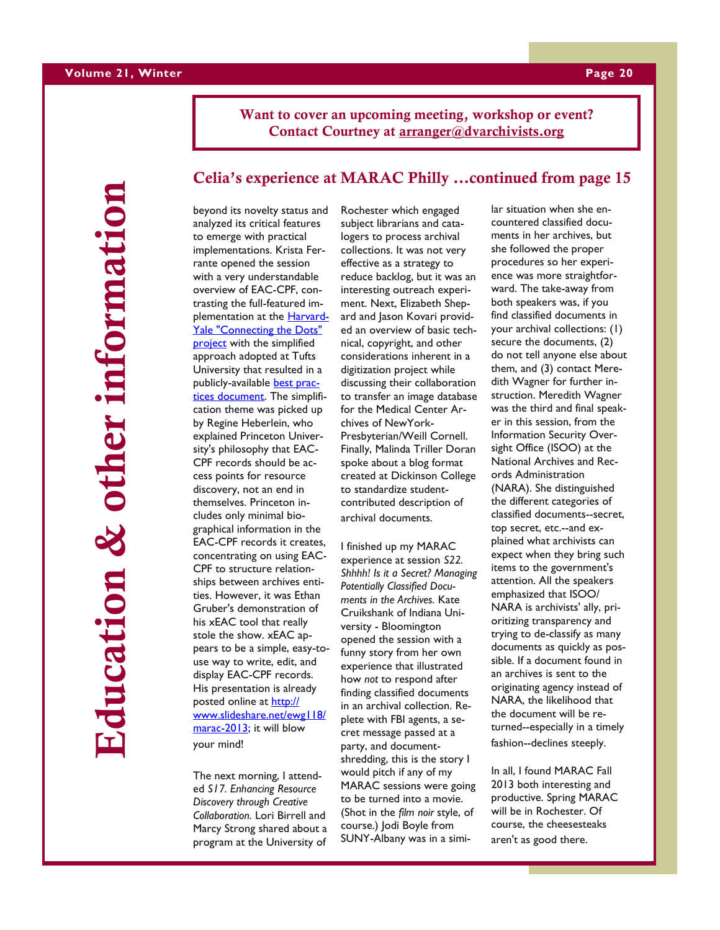**Want to cover an upcoming meeting, workshop or event? Contact Courtney at [arranger@dvarchivists.org](mailto:arranger@dvarchivists.org)**

**Education & other information**other informati Education &

### **Celia's experience at MARAC Philly ...continued from page 15**

beyond its novelty status and analyzed its critical features to emerge with practical implementations. Krista Ferrante opened the session with a very understandable overview of EAC-CPF, contrasting the full-featured implementation at the **[Harvard-](https://osc.hul.harvard.edu/liblab/proj/connecting-dots-using-eac-cpf-reunite-samuel-johnson-and-his-circle)**[Yale "Connecting the Dots"](https://osc.hul.harvard.edu/liblab/proj/connecting-dots-using-eac-cpf-reunite-samuel-johnson-and-his-circle)  [project](https://osc.hul.harvard.edu/liblab/proj/connecting-dots-using-eac-cpf-reunite-samuel-johnson-and-his-circle) with the simplified approach adopted at Tufts University that resulted in a publicly-available [best prac](http://sites.tufts.edu/dca/files/2011/03/DAT-040DCABestPracticesforEAC.pdf)[tices document.](http://sites.tufts.edu/dca/files/2011/03/DAT-040DCABestPracticesforEAC.pdf) The simplification theme was picked up by Regine Heberlein, who explained Princeton University's philosophy that EAC-CPF records should be access points for resource discovery, not an end in themselves. Princeton includes only minimal biographical information in the EAC-CPF records it creates, concentrating on using EAC-CPF to structure relationships between archives entities. However, it was Ethan Gruber's demonstration of his xEAC tool that really stole the show. xEAC appears to be a simple, easy-touse way to write, edit, and display EAC-CPF records. His presentation is already posted online at [http://](http://www.slideshare.net/ewg118/marac-2013) [www.slideshare.net/ewg118/](http://www.slideshare.net/ewg118/marac-2013) [marac-2013;](http://www.slideshare.net/ewg118/marac-2013) it will blow your mind!

The next morning, I attended *S17. Enhancing Resource Discovery through Creative Collaboration.* Lori Birrell and Marcy Strong shared about a program at the University of Rochester which engaged subject librarians and catalogers to process archival collections. It was not very effective as a strategy to reduce backlog, but it was an interesting outreach experiment. Next, Elizabeth Shepard and Jason Kovari provided an overview of basic technical, copyright, and other considerations inherent in a digitization project while discussing their collaboration to transfer an image database for the Medical Center Archives of NewYork-Presbyterian/Weill Cornell. Finally, Malinda Triller Doran spoke about a blog format created at Dickinson College to standardize studentcontributed description of archival documents.

I finished up my MARAC experience at session *S22. Shhhh! Is it a Secret? Managing Potentially Classified Documents in the Archives.* Kate Cruikshank of Indiana University - Bloomington opened the session with a funny story from her own experience that illustrated how *not* to respond after finding classified documents in an archival collection. Replete with FBI agents, a secret message passed at a party, and documentshredding, this is the story I would pitch if any of my MARAC sessions were going to be turned into a movie. (Shot in the *film noir* style, of course.) Jodi Boyle from SUNY-Albany was in a simi-

lar situation when she encountered classified documents in her archives, but she followed the proper procedures so her experience was more straightforward. The take-away from both speakers was, if you find classified documents in your archival collections: (1) secure the documents, (2) do not tell anyone else about them, and (3) contact Meredith Wagner for further instruction. Meredith Wagner was the third and final speaker in this session, from the Information Security Oversight Office (ISOO) at the National Archives and Records Administration (NARA). She distinguished the different categories of classified documents--secret, top secret, etc.--and explained what archivists can expect when they bring such items to the government's attention. All the speakers emphasized that ISOO/ NARA is archivists' ally, prioritizing transparency and trying to de-classify as many documents as quickly as possible. If a document found in an archives is sent to the originating agency instead of NARA, the likelihood that the document will be returned--especially in a timely fashion--declines steeply.

In all, I found MARAC Fall 2013 both interesting and productive. Spring MARAC will be in Rochester. Of course, the cheesesteaks aren't as good there.